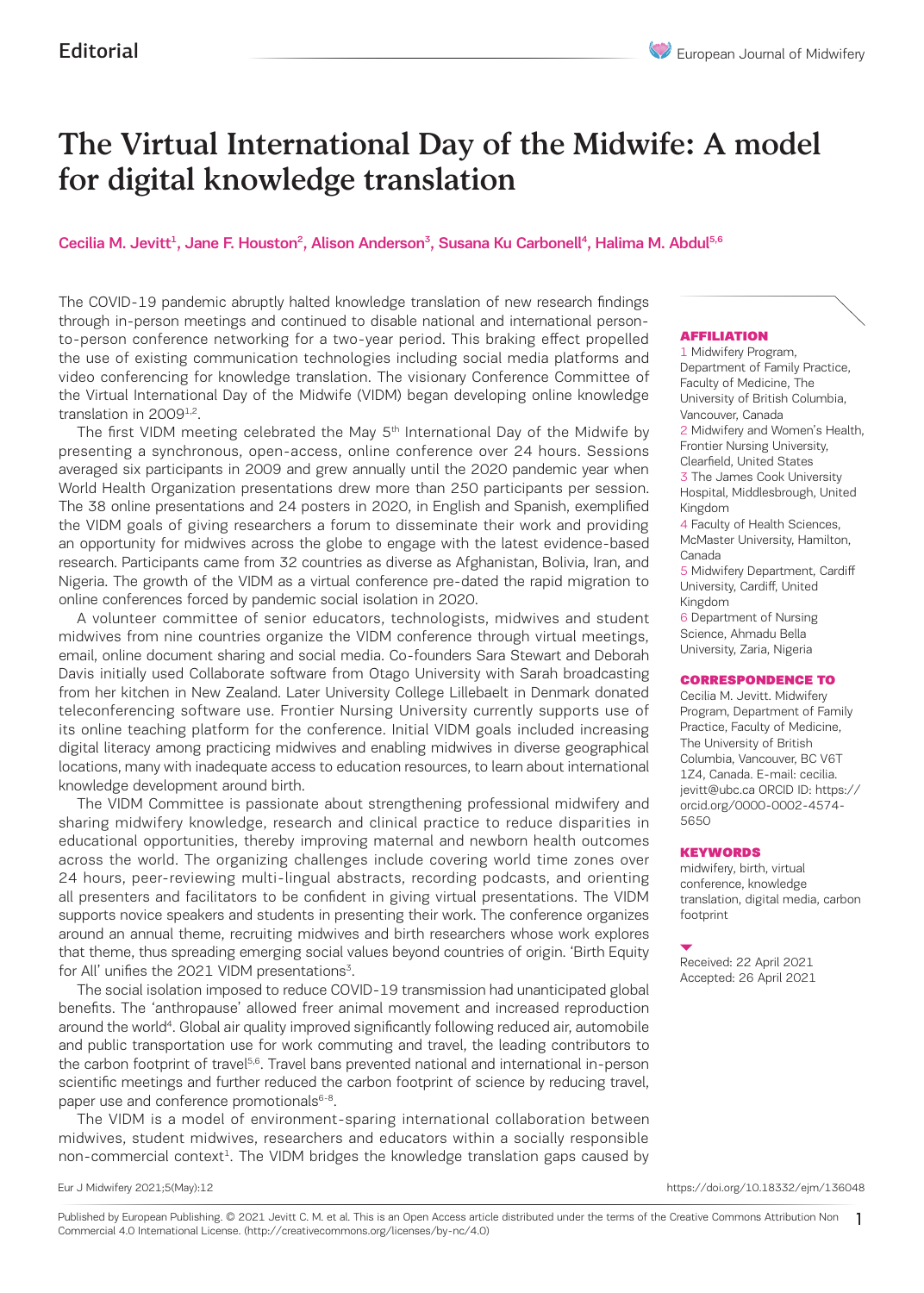# The Virtual International Day of the Midwife: A model for digital knowledge translation

## Cecilia M. Jevitt<sup>1</sup>, Jane F. Houston<sup>2</sup>, Alison Anderson<sup>3</sup>, Susana Ku Carbonell<sup>4</sup>, Halima M. Abdul<sup>5,6</sup>

The COVID-19 pandemic abruptly halted knowledge translation of new research findings through in-person meetings and continued to disable national and international personto-person conference networking for a two-year period. This braking effect propelled the use of existing communication technologies including social media platforms and video conferencing for knowledge translation. The visionary Conference Committee of the Virtual International Day of the Midwife (VIDM) began developing online knowledge translation in 2009<sup>1,2</sup>.

The first VIDM meeting celebrated the May 5<sup>th</sup> International Day of the Midwife by presenting a synchronous, open-access, online conference over 24 hours. Sessions averaged six participants in 2009 and grew annually until the 2020 pandemic year when World Health Organization presentations drew more than 250 participants per session. The 38 online presentations and 24 posters in 2020, in English and Spanish, exemplified the VIDM goals of giving researchers a forum to disseminate their work and providing an opportunity for midwives across the globe to engage with the latest evidence-based research. Participants came from 32 countries as diverse as Afghanistan, Bolivia, Iran, and Nigeria. The growth of the VIDM as a virtual conference pre-dated the rapid migration to online conferences forced by pandemic social isolation in 2020.

A volunteer committee of senior educators, technologists, midwives and student midwives from nine countries organize the VIDM conference through virtual meetings, email, online document sharing and social media. Co-founders Sara Stewart and Deborah Davis initially used Collaborate software from Otago University with Sarah broadcasting from her kitchen in New Zealand. Later University College Lillebaelt in Denmark donated teleconferencing software use. Frontier Nursing University currently supports use of its online teaching platform for the conference. Initial VIDM goals included increasing digital literacy among practicing midwives and enabling midwives in diverse geographical locations, many with inadequate access to education resources, to learn about international knowledge development around birth.

The VIDM Committee is passionate about strengthening professional midwifery and sharing midwifery knowledge, research and clinical practice to reduce disparities in educational opportunities, thereby improving maternal and newborn health outcomes across the world. The organizing challenges include covering world time zones over 24 hours, peer-reviewing multi-lingual abstracts, recording podcasts, and orienting all presenters and facilitators to be confident in giving virtual presentations. The VIDM supports novice speakers and students in presenting their work. The conference organizes around an annual theme, recruiting midwives and birth researchers whose work explores that theme, thus spreading emerging social values beyond countries of origin. 'Birth Equity for All' unifies the 2021 VIDM presentations<sup>3</sup>.

The social isolation imposed to reduce COVID-19 transmission had unanticipated global benefits. The 'anthropause' allowed freer animal movement and increased reproduction around the world<sup>4</sup>. Global air quality improved significantly following reduced air, automobile and public transportation use for work commuting and travel, the leading contributors to the carbon footprint of travel<sup>5,6</sup>. Travel bans prevented national and international in-person scientific meetings and further reduced the carbon footprint of science by reducing travel, paper use and conference promotionals<sup>6-8</sup>.

The VIDM is a model of environment-sparing international collaboration between midwives, student midwives, researchers and educators within a socially responsible non-commercial context<sup>1</sup>. The VIDM bridges the knowledge translation gaps caused by

AFFILIATION

1 Midwifery Program, Department of Family Practice, Faculty of Medicine, The University of British Columbia, Vancouver, Canada 2 Midwifery and Women's Health, Frontier Nursing University, Clearfield, United States 3 The James Cook University Hospital, Middlesbrough, United Kingdom 4 Faculty of Health Sciences, McMaster University, Hamilton, Canada 5 Midwifery Department, Cardiff University, Cardiff, United Kingdom 6 Department of Nursing

Science, Ahmadu Bella University, Zaria, Nigeria

#### CORRESPONDENCE TO

Cecilia M. Jevitt. Midwifery Program, Department of Family Practice, Faculty of Medicine, The University of British Columbia, Vancouver, BC V6T 1Z4, Canada. E-mail: cecilia. jevitt@ubc.ca ORCID ID: https:// orcid.org/0000-0002-4574- 5650

#### KEYWORDS

midwifery, birth, virtual conference, knowledge translation, digital media, carbon footprint

Received: 22 April 2021 Accepted: 26 April 2021